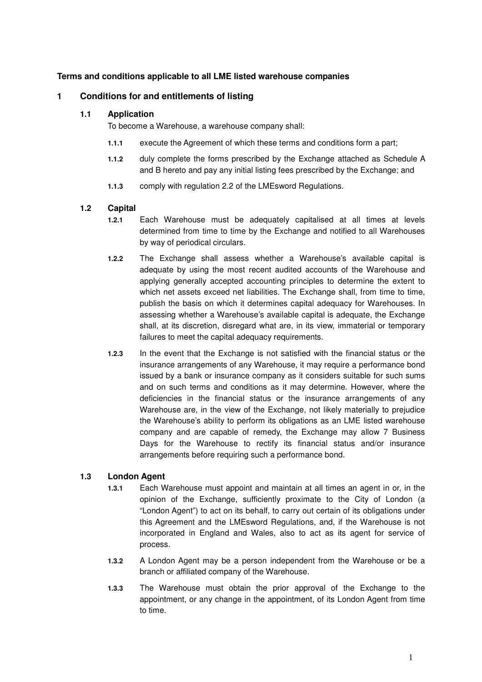# **Terms and conditions applicable to all LME listed warehouse companies**

### **1 Conditions for and entitlements of listing**

#### **1.1 Application**

To become a Warehouse, a warehouse company shall:

- **1.1.1** execute the Agreement of which these terms and conditions form a part;
- **1.1.2** duly complete the forms prescribed by the Exchange attached as Schedule A and B hereto and pay any initial listing fees prescribed by the Exchange; and
- **1.1.3** comply with regulation 2.2 of the LMEsword Regulations.

#### **1.2 Capital**

- **1.2.1** Each Warehouse must be adequately capitalised at all times at levels determined from time to time by the Exchange and notified to all Warehouses by way of periodical circulars.
- **1.2.2** The Exchange shall assess whether a Warehouse's available capital is adequate by using the most recent audited accounts of the Warehouse and applying generally accepted accounting principles to determine the extent to which net assets exceed net liabilities. The Exchange shall, from time to time, publish the basis on which it determines capital adequacy for Warehouses. In assessing whether a Warehouse's available capital is adequate, the Exchange shall, at its discretion, disregard what are, in its view, immaterial or temporary failures to meet the capital adequacy requirements.
- **1.2.3** In the event that the Exchange is not satisfied with the financial status or the insurance arrangements of any Warehouse, it may require a performance bond issued by a bank or insurance company as it considers suitable for such sums and on such terms and conditions as it may determine. However, where the deficiencies in the financial status or the insurance arrangements of any Warehouse are, in the view of the Exchange, not likely materially to prejudice the Warehouse's ability to perform its obligations as an LME listed warehouse company and are capable of remedy, the Exchange may allow 7 Business Days for the Warehouse to rectify its financial status and/or insurance arrangements before requiring such a performance bond.

### **1.3 London Agent**

- **1.3.1** Each Warehouse must appoint and maintain at all times an agent in or, in the opinion of the Exchange, sufficiently proximate to the City of London (a "London Agent") to act on its behalf, to carry out certain of its obligations under this Agreement and the LMEsword Regulations, and, if the Warehouse is not incorporated in England and Wales, also to act as its agent for service of process.
- **1.3.2** A London Agent may be a person independent from the Warehouse or be a branch or affiliated company of the Warehouse.
- **1.3.3** The Warehouse must obtain the prior approval of the Exchange to the appointment, or any change in the appointment, of its London Agent from time to time.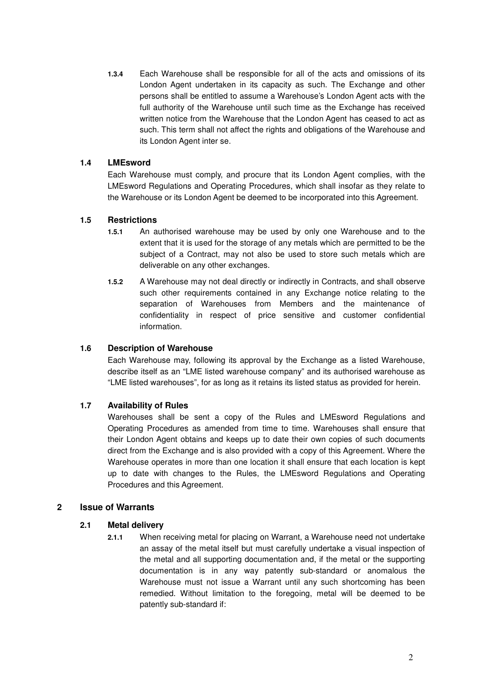**1.3.4** Each Warehouse shall be responsible for all of the acts and omissions of its London Agent undertaken in its capacity as such. The Exchange and other persons shall be entitled to assume a Warehouse's London Agent acts with the full authority of the Warehouse until such time as the Exchange has received written notice from the Warehouse that the London Agent has ceased to act as such. This term shall not affect the rights and obligations of the Warehouse and its London Agent inter se.

### **1.4 LMEsword**

Each Warehouse must comply, and procure that its London Agent complies, with the LMEsword Regulations and Operating Procedures, which shall insofar as they relate to the Warehouse or its London Agent be deemed to be incorporated into this Agreement.

### **1.5 Restrictions**

- **1.5.1** An authorised warehouse may be used by only one Warehouse and to the extent that it is used for the storage of any metals which are permitted to be the subject of a Contract, may not also be used to store such metals which are deliverable on any other exchanges.
- **1.5.2** A Warehouse may not deal directly or indirectly in Contracts, and shall observe such other requirements contained in any Exchange notice relating to the separation of Warehouses from Members and the maintenance of confidentiality in respect of price sensitive and customer confidential information.

# **1.6 Description of Warehouse**

Each Warehouse may, following its approval by the Exchange as a listed Warehouse, describe itself as an "LME listed warehouse company" and its authorised warehouse as "LME listed warehouses", for as long as it retains its listed status as provided for herein.

### **1.7 Availability of Rules**

Warehouses shall be sent a copy of the Rules and LMEsword Regulations and Operating Procedures as amended from time to time. Warehouses shall ensure that their London Agent obtains and keeps up to date their own copies of such documents direct from the Exchange and is also provided with a copy of this Agreement. Where the Warehouse operates in more than one location it shall ensure that each location is kept up to date with changes to the Rules, the LMEsword Regulations and Operating Procedures and this Agreement.

### **2 Issue of Warrants**

### **2.1 Metal delivery**

**2.1.1** When receiving metal for placing on Warrant, a Warehouse need not undertake an assay of the metal itself but must carefully undertake a visual inspection of the metal and all supporting documentation and, if the metal or the supporting documentation is in any way patently sub-standard or anomalous the Warehouse must not issue a Warrant until any such shortcoming has been remedied. Without limitation to the foregoing, metal will be deemed to be patently sub-standard if: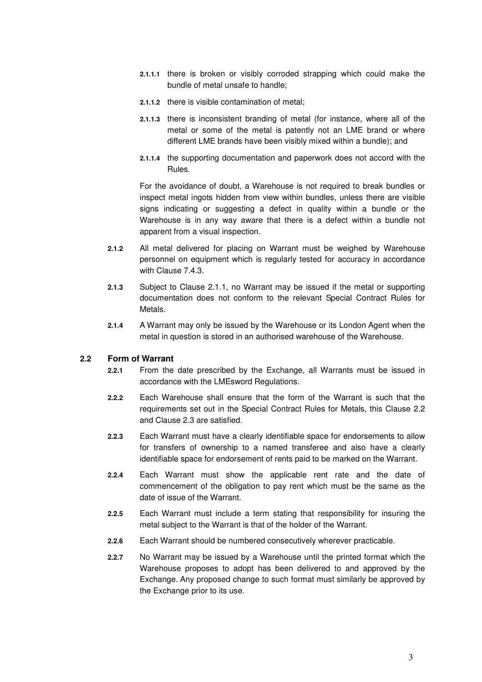- **2.1.1.1** there is broken or visibly corroded strapping which could make the bundle of metal unsafe to handle;
- **2.1.1.2** there is visible contamination of metal;
- **2.1.1.3** there is inconsistent branding of metal (for instance, where all of the metal or some of the metal is patently not an LME brand or where different LME brands have been visibly mixed within a bundle); and
- **2.1.1.4** the supporting documentation and paperwork does not accord with the Rules.

For the avoidance of doubt, a Warehouse is not required to break bundles or inspect metal ingots hidden from view within bundles, unless there are visible signs indicating or suggesting a defect in quality within a bundle or the Warehouse is in any way aware that there is a defect within a bundle not apparent from a visual inspection.

- **2.1.2** All metal delivered for placing on Warrant must be weighed by Warehouse personnel on equipment which is regularly tested for accuracy in accordance with Clause 7.4.3.
- **2.1.3** Subject to Clause 2.1.1, no Warrant may be issued if the metal or supporting documentation does not conform to the relevant Special Contract Rules for Metals.
- **2.1.4** A Warrant may only be issued by the Warehouse or its London Agent when the metal in question is stored in an authorised warehouse of the Warehouse.

### **2.2 Form of Warrant**

- **2.2.1** From the date prescribed by the Exchange, all Warrants must be issued in accordance with the LMEsword Regulations.
- **2.2.2** Each Warehouse shall ensure that the form of the Warrant is such that the requirements set out in the Special Contract Rules for Metals, this Clause 2.2 and Clause 2.3 are satisfied.
- **2.2.3** Each Warrant must have a clearly identifiable space for endorsements to allow for transfers of ownership to a named transferee and also have a clearly identifiable space for endorsement of rents paid to be marked on the Warrant.
- **2.2.4** Each Warrant must show the applicable rent rate and the date of commencement of the obligation to pay rent which must be the same as the date of issue of the Warrant.
- **2.2.5** Each Warrant must include a term stating that responsibility for insuring the metal subject to the Warrant is that of the holder of the Warrant.
- **2.2.6** Each Warrant should be numbered consecutively wherever practicable.
- **2.2.7** No Warrant may be issued by a Warehouse until the printed format which the Warehouse proposes to adopt has been delivered to and approved by the Exchange. Any proposed change to such format must similarly be approved by the Exchange prior to its use.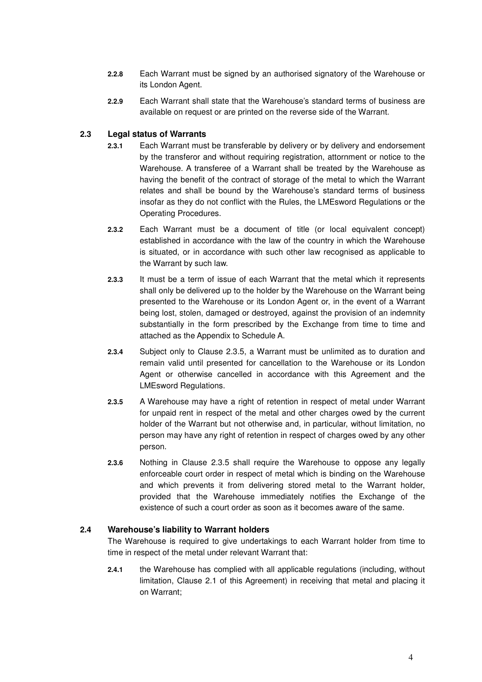- **2.2.8** Each Warrant must be signed by an authorised signatory of the Warehouse or its London Agent.
- **2.2.9** Each Warrant shall state that the Warehouse's standard terms of business are available on request or are printed on the reverse side of the Warrant.

# **2.3 Legal status of Warrants**

- **2.3.1** Each Warrant must be transferable by delivery or by delivery and endorsement by the transferor and without requiring registration, attornment or notice to the Warehouse. A transferee of a Warrant shall be treated by the Warehouse as having the benefit of the contract of storage of the metal to which the Warrant relates and shall be bound by the Warehouse's standard terms of business insofar as they do not conflict with the Rules, the LMEsword Regulations or the Operating Procedures.
- **2.3.2** Each Warrant must be a document of title (or local equivalent concept) established in accordance with the law of the country in which the Warehouse is situated, or in accordance with such other law recognised as applicable to the Warrant by such law.
- **2.3.3** It must be a term of issue of each Warrant that the metal which it represents shall only be delivered up to the holder by the Warehouse on the Warrant being presented to the Warehouse or its London Agent or, in the event of a Warrant being lost, stolen, damaged or destroyed, against the provision of an indemnity substantially in the form prescribed by the Exchange from time to time and attached as the Appendix to Schedule A.
- **2.3.4** Subject only to Clause 2.3.5, a Warrant must be unlimited as to duration and remain valid until presented for cancellation to the Warehouse or its London Agent or otherwise cancelled in accordance with this Agreement and the LMEsword Regulations.
- **2.3.5** A Warehouse may have a right of retention in respect of metal under Warrant for unpaid rent in respect of the metal and other charges owed by the current holder of the Warrant but not otherwise and, in particular, without limitation, no person may have any right of retention in respect of charges owed by any other person.
- **2.3.6** Nothing in Clause 2.3.5 shall require the Warehouse to oppose any legally enforceable court order in respect of metal which is binding on the Warehouse and which prevents it from delivering stored metal to the Warrant holder, provided that the Warehouse immediately notifies the Exchange of the existence of such a court order as soon as it becomes aware of the same.

### **2.4 Warehouse's liability to Warrant holders**

The Warehouse is required to give undertakings to each Warrant holder from time to time in respect of the metal under relevant Warrant that:

**2.4.1** the Warehouse has complied with all applicable regulations (including, without limitation, Clause 2.1 of this Agreement) in receiving that metal and placing it on Warrant;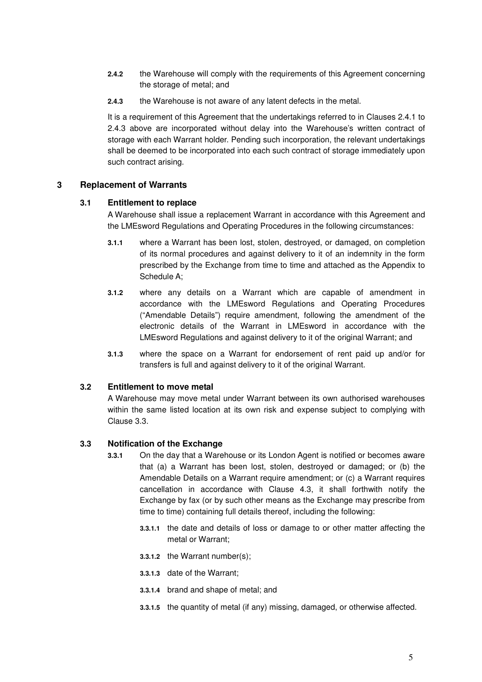- **2.4.2** the Warehouse will comply with the requirements of this Agreement concerning the storage of metal; and
- **2.4.3** the Warehouse is not aware of any latent defects in the metal.

It is a requirement of this Agreement that the undertakings referred to in Clauses 2.4.1 to 2.4.3 above are incorporated without delay into the Warehouse's written contract of storage with each Warrant holder. Pending such incorporation, the relevant undertakings shall be deemed to be incorporated into each such contract of storage immediately upon such contract arising.

# **3 Replacement of Warrants**

# **3.1 Entitlement to replace**

A Warehouse shall issue a replacement Warrant in accordance with this Agreement and the LMEsword Regulations and Operating Procedures in the following circumstances:

- **3.1.1** where a Warrant has been lost, stolen, destroyed, or damaged, on completion of its normal procedures and against delivery to it of an indemnity in the form prescribed by the Exchange from time to time and attached as the Appendix to Schedule A;
- **3.1.2** where any details on a Warrant which are capable of amendment in accordance with the LMEsword Regulations and Operating Procedures ("Amendable Details") require amendment, following the amendment of the electronic details of the Warrant in LMEsword in accordance with the LMEsword Regulations and against delivery to it of the original Warrant; and
- **3.1.3** where the space on a Warrant for endorsement of rent paid up and/or for transfers is full and against delivery to it of the original Warrant.

# **3.2 Entitlement to move metal**

A Warehouse may move metal under Warrant between its own authorised warehouses within the same listed location at its own risk and expense subject to complying with Clause 3.3.

# **3.3 Notification of the Exchange**

- **3.3.1** On the day that a Warehouse or its London Agent is notified or becomes aware that (a) a Warrant has been lost, stolen, destroyed or damaged; or (b) the Amendable Details on a Warrant require amendment; or (c) a Warrant requires cancellation in accordance with Clause 4.3, it shall forthwith notify the Exchange by fax (or by such other means as the Exchange may prescribe from time to time) containing full details thereof, including the following:
	- **3.3.1.1** the date and details of loss or damage to or other matter affecting the metal or Warrant;
	- **3.3.1.2** the Warrant number(s);
	- **3.3.1.3** date of the Warrant;
	- **3.3.1.4** brand and shape of metal; and
	- **3.3.1.5** the quantity of metal (if any) missing, damaged, or otherwise affected.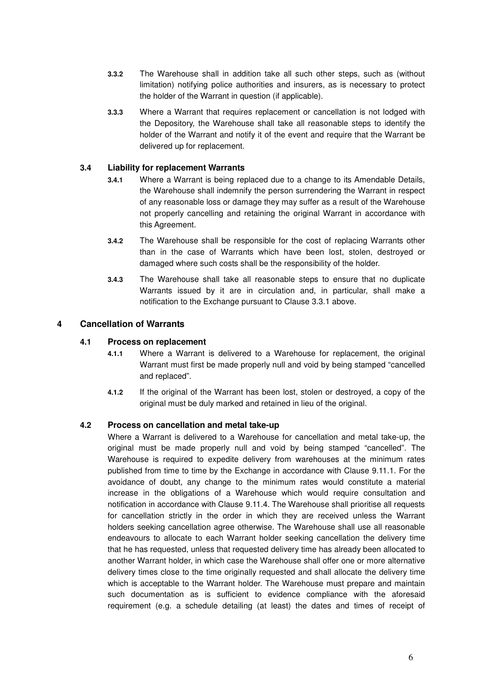- **3.3.2** The Warehouse shall in addition take all such other steps, such as (without limitation) notifying police authorities and insurers, as is necessary to protect the holder of the Warrant in question (if applicable).
- **3.3.3** Where a Warrant that requires replacement or cancellation is not lodged with the Depository, the Warehouse shall take all reasonable steps to identify the holder of the Warrant and notify it of the event and require that the Warrant be delivered up for replacement.

### **3.4 Liability for replacement Warrants**

- **3.4.1** Where a Warrant is being replaced due to a change to its Amendable Details, the Warehouse shall indemnify the person surrendering the Warrant in respect of any reasonable loss or damage they may suffer as a result of the Warehouse not properly cancelling and retaining the original Warrant in accordance with this Agreement.
- **3.4.2** The Warehouse shall be responsible for the cost of replacing Warrants other than in the case of Warrants which have been lost, stolen, destroyed or damaged where such costs shall be the responsibility of the holder.
- **3.4.3** The Warehouse shall take all reasonable steps to ensure that no duplicate Warrants issued by it are in circulation and, in particular, shall make a notification to the Exchange pursuant to Clause 3.3.1 above.

### **4 Cancellation of Warrants**

### **4.1 Process on replacement**

- **4.1.1** Where a Warrant is delivered to a Warehouse for replacement, the original Warrant must first be made properly null and void by being stamped "cancelled and replaced".
- **4.1.2** If the original of the Warrant has been lost, stolen or destroyed, a copy of the original must be duly marked and retained in lieu of the original.

### **4.2 Process on cancellation and metal take-up**

Where a Warrant is delivered to a Warehouse for cancellation and metal take-up, the original must be made properly null and void by being stamped "cancelled". The Warehouse is required to expedite delivery from warehouses at the minimum rates published from time to time by the Exchange in accordance with Clause 9.11.1. For the avoidance of doubt, any change to the minimum rates would constitute a material increase in the obligations of a Warehouse which would require consultation and notification in accordance with Clause 9.11.4. The Warehouse shall prioritise all requests for cancellation strictly in the order in which they are received unless the Warrant holders seeking cancellation agree otherwise. The Warehouse shall use all reasonable endeavours to allocate to each Warrant holder seeking cancellation the delivery time that he has requested, unless that requested delivery time has already been allocated to another Warrant holder, in which case the Warehouse shall offer one or more alternative delivery times close to the time originally requested and shall allocate the delivery time which is acceptable to the Warrant holder. The Warehouse must prepare and maintain such documentation as is sufficient to evidence compliance with the aforesaid requirement (e.g. a schedule detailing (at least) the dates and times of receipt of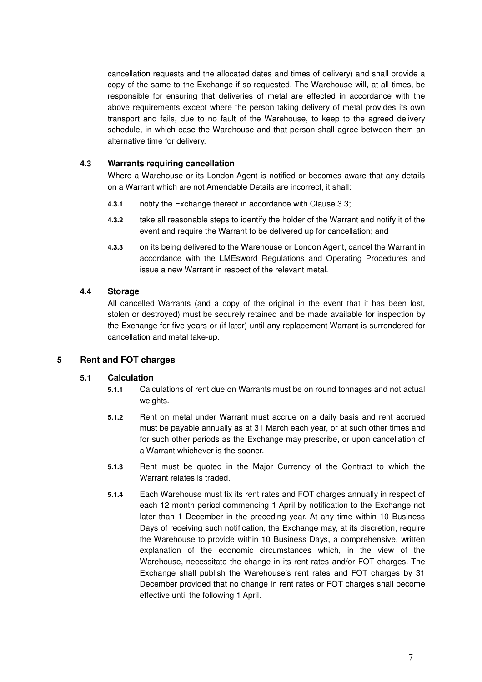cancellation requests and the allocated dates and times of delivery) and shall provide a copy of the same to the Exchange if so requested. The Warehouse will, at all times, be responsible for ensuring that deliveries of metal are effected in accordance with the above requirements except where the person taking delivery of metal provides its own transport and fails, due to no fault of the Warehouse, to keep to the agreed delivery schedule, in which case the Warehouse and that person shall agree between them an alternative time for delivery.

### **4.3 Warrants requiring cancellation**

Where a Warehouse or its London Agent is notified or becomes aware that any details on a Warrant which are not Amendable Details are incorrect, it shall:

- **4.3.1** notify the Exchange thereof in accordance with Clause 3.3;
- **4.3.2** take all reasonable steps to identify the holder of the Warrant and notify it of the event and require the Warrant to be delivered up for cancellation; and
- **4.3.3** on its being delivered to the Warehouse or London Agent, cancel the Warrant in accordance with the LMEsword Regulations and Operating Procedures and issue a new Warrant in respect of the relevant metal.

### **4.4 Storage**

All cancelled Warrants (and a copy of the original in the event that it has been lost, stolen or destroyed) must be securely retained and be made available for inspection by the Exchange for five years or (if later) until any replacement Warrant is surrendered for cancellation and metal take-up.

# **5 Rent and FOT charges**

### **5.1 Calculation**

- **5.1.1** Calculations of rent due on Warrants must be on round tonnages and not actual weights.
- **5.1.2** Rent on metal under Warrant must accrue on a daily basis and rent accrued must be payable annually as at 31 March each year, or at such other times and for such other periods as the Exchange may prescribe, or upon cancellation of a Warrant whichever is the sooner.
- **5.1.3** Rent must be quoted in the Major Currency of the Contract to which the Warrant relates is traded.
- **5.1.4** Each Warehouse must fix its rent rates and FOT charges annually in respect of each 12 month period commencing 1 April by notification to the Exchange not later than 1 December in the preceding year. At any time within 10 Business Days of receiving such notification, the Exchange may, at its discretion, require the Warehouse to provide within 10 Business Days, a comprehensive, written explanation of the economic circumstances which, in the view of the Warehouse, necessitate the change in its rent rates and/or FOT charges. The Exchange shall publish the Warehouse's rent rates and FOT charges by 31 December provided that no change in rent rates or FOT charges shall become effective until the following 1 April.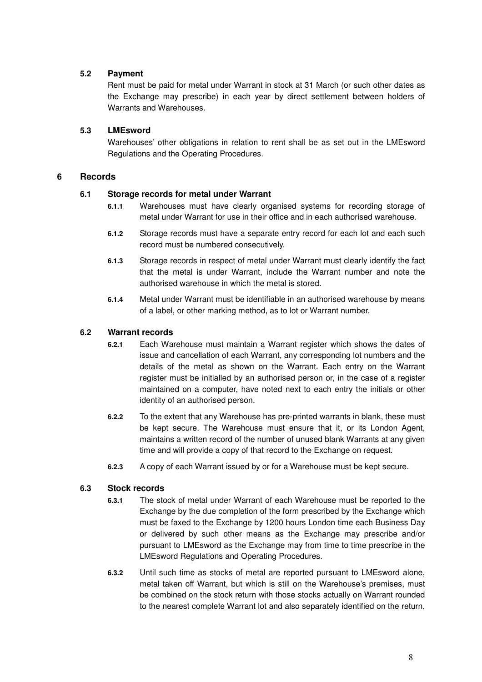# **5.2 Payment**

Rent must be paid for metal under Warrant in stock at 31 March (or such other dates as the Exchange may prescribe) in each year by direct settlement between holders of Warrants and Warehouses.

# **5.3 LMEsword**

Warehouses' other obligations in relation to rent shall be as set out in the LMEsword Regulations and the Operating Procedures.

# **6 Records**

# **6.1 Storage records for metal under Warrant**

- **6.1.1** Warehouses must have clearly organised systems for recording storage of metal under Warrant for use in their office and in each authorised warehouse.
- **6.1.2** Storage records must have a separate entry record for each lot and each such record must be numbered consecutively.
- **6.1.3** Storage records in respect of metal under Warrant must clearly identify the fact that the metal is under Warrant, include the Warrant number and note the authorised warehouse in which the metal is stored.
- **6.1.4** Metal under Warrant must be identifiable in an authorised warehouse by means of a label, or other marking method, as to lot or Warrant number.

# **6.2 Warrant records**

- **6.2.1** Each Warehouse must maintain a Warrant register which shows the dates of issue and cancellation of each Warrant, any corresponding lot numbers and the details of the metal as shown on the Warrant. Each entry on the Warrant register must be initialled by an authorised person or, in the case of a register maintained on a computer, have noted next to each entry the initials or other identity of an authorised person.
- **6.2.2** To the extent that any Warehouse has pre-printed warrants in blank, these must be kept secure. The Warehouse must ensure that it, or its London Agent, maintains a written record of the number of unused blank Warrants at any given time and will provide a copy of that record to the Exchange on request.
- **6.2.3** A copy of each Warrant issued by or for a Warehouse must be kept secure.

# **6.3 Stock records**

- **6.3.1** The stock of metal under Warrant of each Warehouse must be reported to the Exchange by the due completion of the form prescribed by the Exchange which must be faxed to the Exchange by 1200 hours London time each Business Day or delivered by such other means as the Exchange may prescribe and/or pursuant to LMEsword as the Exchange may from time to time prescribe in the LMEsword Regulations and Operating Procedures.
- **6.3.2** Until such time as stocks of metal are reported pursuant to LMEsword alone, metal taken off Warrant, but which is still on the Warehouse's premises, must be combined on the stock return with those stocks actually on Warrant rounded to the nearest complete Warrant lot and also separately identified on the return,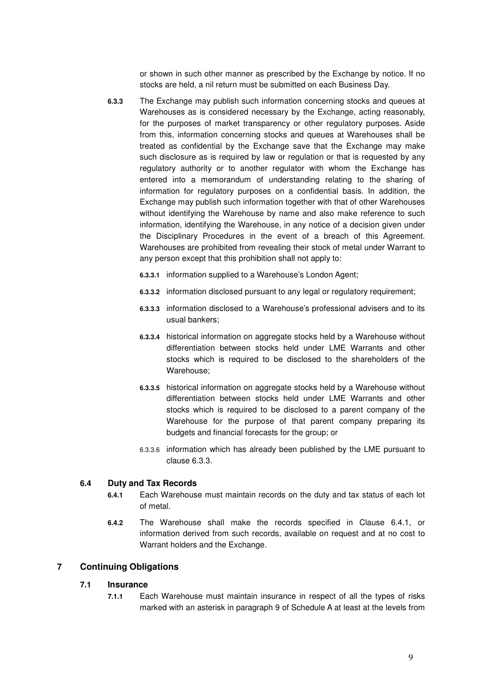or shown in such other manner as prescribed by the Exchange by notice. If no stocks are held, a nil return must be submitted on each Business Day.

- **6.3.3** The Exchange may publish such information concerning stocks and queues at Warehouses as is considered necessary by the Exchange, acting reasonably, for the purposes of market transparency or other regulatory purposes. Aside from this, information concerning stocks and queues at Warehouses shall be treated as confidential by the Exchange save that the Exchange may make such disclosure as is required by law or regulation or that is requested by any regulatory authority or to another regulator with whom the Exchange has entered into a memorandum of understanding relating to the sharing of information for regulatory purposes on a confidential basis. In addition, the Exchange may publish such information together with that of other Warehouses without identifying the Warehouse by name and also make reference to such information, identifying the Warehouse, in any notice of a decision given under the Disciplinary Procedures in the event of a breach of this Agreement. Warehouses are prohibited from revealing their stock of metal under Warrant to any person except that this prohibition shall not apply to:
	- **6.3.3.1** information supplied to a Warehouse's London Agent;
	- **6.3.3.2** information disclosed pursuant to any legal or regulatory requirement;
	- **6.3.3.3** information disclosed to a Warehouse's professional advisers and to its usual bankers;
	- **6.3.3.4** historical information on aggregate stocks held by a Warehouse without differentiation between stocks held under LME Warrants and other stocks which is required to be disclosed to the shareholders of the Warehouse;
	- **6.3.3.5** historical information on aggregate stocks held by a Warehouse without differentiation between stocks held under LME Warrants and other stocks which is required to be disclosed to a parent company of the Warehouse for the purpose of that parent company preparing its budgets and financial forecasts for the group; or
	- 6.3.3.6 information which has already been published by the LME pursuant to clause 6.3.3.

### **6.4 Duty and Tax Records**

- **6.4.1** Each Warehouse must maintain records on the duty and tax status of each lot of metal.
- **6.4.2** The Warehouse shall make the records specified in Clause 6.4.1, or information derived from such records, available on request and at no cost to Warrant holders and the Exchange.

### **7 Continuing Obligations**

### **7.1 Insurance**

**7.1.1** Each Warehouse must maintain insurance in respect of all the types of risks marked with an asterisk in paragraph 9 of Schedule A at least at the levels from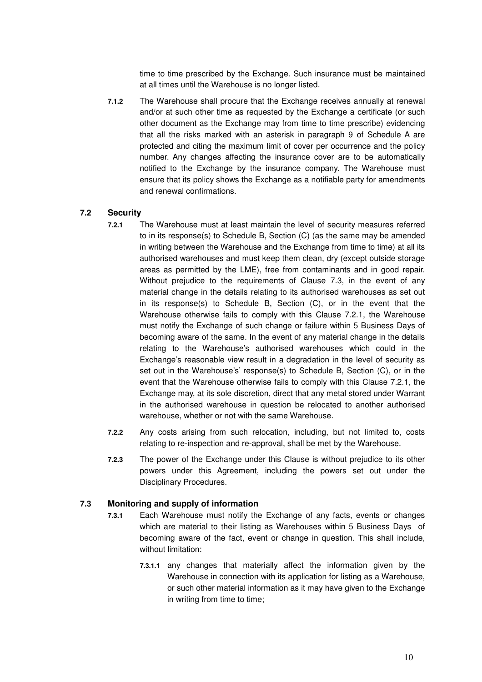time to time prescribed by the Exchange. Such insurance must be maintained at all times until the Warehouse is no longer listed.

**7.1.2** The Warehouse shall procure that the Exchange receives annually at renewal and/or at such other time as requested by the Exchange a certificate (or such other document as the Exchange may from time to time prescribe) evidencing that all the risks marked with an asterisk in paragraph 9 of Schedule A are protected and citing the maximum limit of cover per occurrence and the policy number. Any changes affecting the insurance cover are to be automatically notified to the Exchange by the insurance company. The Warehouse must ensure that its policy shows the Exchange as a notifiable party for amendments and renewal confirmations.

### **7.2 Security**

- **7.2.1** The Warehouse must at least maintain the level of security measures referred to in its response(s) to Schedule B, Section (C) (as the same may be amended in writing between the Warehouse and the Exchange from time to time) at all its authorised warehouses and must keep them clean, dry (except outside storage areas as permitted by the LME), free from contaminants and in good repair. Without prejudice to the requirements of Clause 7.3, in the event of any material change in the details relating to its authorised warehouses as set out in its response(s) to Schedule B, Section (C), or in the event that the Warehouse otherwise fails to comply with this Clause 7.2.1, the Warehouse must notify the Exchange of such change or failure within 5 Business Days of becoming aware of the same. In the event of any material change in the details relating to the Warehouse's authorised warehouses which could in the Exchange's reasonable view result in a degradation in the level of security as set out in the Warehouse's' response(s) to Schedule B, Section (C), or in the event that the Warehouse otherwise fails to comply with this Clause 7.2.1, the Exchange may, at its sole discretion, direct that any metal stored under Warrant in the authorised warehouse in question be relocated to another authorised warehouse, whether or not with the same Warehouse.
- **7.2.2** Any costs arising from such relocation, including, but not limited to, costs relating to re-inspection and re-approval, shall be met by the Warehouse.
- **7.2.3** The power of the Exchange under this Clause is without prejudice to its other powers under this Agreement, including the powers set out under the Disciplinary Procedures.

### **7.3 Monitoring and supply of information**

- **7.3.1** Each Warehouse must notify the Exchange of any facts, events or changes which are material to their listing as Warehouses within 5 Business Days of becoming aware of the fact, event or change in question. This shall include, without limitation:
	- **7.3.1.1** any changes that materially affect the information given by the Warehouse in connection with its application for listing as a Warehouse, or such other material information as it may have given to the Exchange in writing from time to time;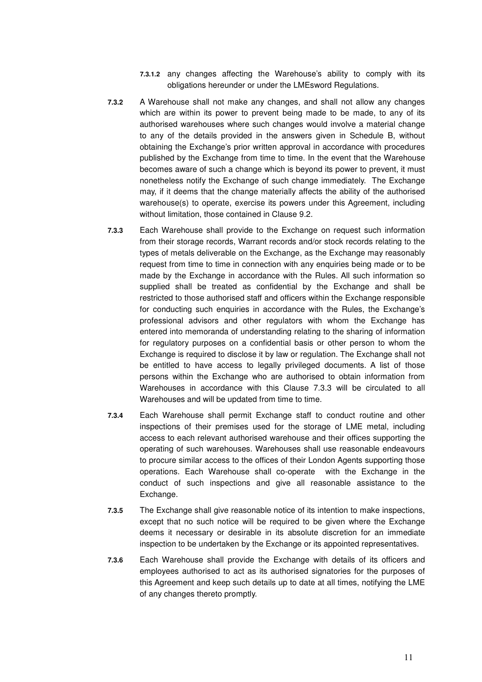- **7.3.1.2** any changes affecting the Warehouse's ability to comply with its obligations hereunder or under the LMEsword Regulations.
- **7.3.2** A Warehouse shall not make any changes, and shall not allow any changes which are within its power to prevent being made to be made, to any of its authorised warehouses where such changes would involve a material change to any of the details provided in the answers given in Schedule B, without obtaining the Exchange's prior written approval in accordance with procedures published by the Exchange from time to time. In the event that the Warehouse becomes aware of such a change which is beyond its power to prevent, it must nonetheless notify the Exchange of such change immediately. The Exchange may, if it deems that the change materially affects the ability of the authorised warehouse(s) to operate, exercise its powers under this Agreement, including without limitation, those contained in Clause 9.2.
- **7.3.3** Each Warehouse shall provide to the Exchange on request such information from their storage records, Warrant records and/or stock records relating to the types of metals deliverable on the Exchange, as the Exchange may reasonably request from time to time in connection with any enquiries being made or to be made by the Exchange in accordance with the Rules. All such information so supplied shall be treated as confidential by the Exchange and shall be restricted to those authorised staff and officers within the Exchange responsible for conducting such enquiries in accordance with the Rules, the Exchange's professional advisors and other regulators with whom the Exchange has entered into memoranda of understanding relating to the sharing of information for regulatory purposes on a confidential basis or other person to whom the Exchange is required to disclose it by law or regulation. The Exchange shall not be entitled to have access to legally privileged documents. A list of those persons within the Exchange who are authorised to obtain information from Warehouses in accordance with this Clause 7.3.3 will be circulated to all Warehouses and will be updated from time to time.
- **7.3.4** Each Warehouse shall permit Exchange staff to conduct routine and other inspections of their premises used for the storage of LME metal, including access to each relevant authorised warehouse and their offices supporting the operating of such warehouses. Warehouses shall use reasonable endeavours to procure similar access to the offices of their London Agents supporting those operations. Each Warehouse shall co-operate with the Exchange in the conduct of such inspections and give all reasonable assistance to the Exchange.
- **7.3.5** The Exchange shall give reasonable notice of its intention to make inspections, except that no such notice will be required to be given where the Exchange deems it necessary or desirable in its absolute discretion for an immediate inspection to be undertaken by the Exchange or its appointed representatives.
- **7.3.6** Each Warehouse shall provide the Exchange with details of its officers and employees authorised to act as its authorised signatories for the purposes of this Agreement and keep such details up to date at all times, notifying the LME of any changes thereto promptly.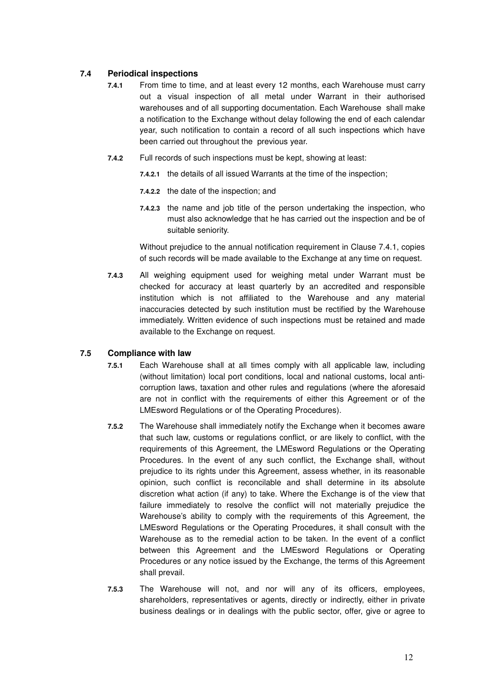# **7.4 Periodical inspections**

- **7.4.1** From time to time, and at least every 12 months, each Warehouse must carry out a visual inspection of all metal under Warrant in their authorised warehouses and of all supporting documentation. Each Warehouse shall make a notification to the Exchange without delay following the end of each calendar year, such notification to contain a record of all such inspections which have been carried out throughout the previous year.
- **7.4.2** Full records of such inspections must be kept, showing at least:
	- **7.4.2.1** the details of all issued Warrants at the time of the inspection;
	- **7.4.2.2** the date of the inspection; and
	- **7.4.2.3** the name and job title of the person undertaking the inspection, who must also acknowledge that he has carried out the inspection and be of suitable seniority.

Without prejudice to the annual notification requirement in Clause 7.4.1, copies of such records will be made available to the Exchange at any time on request.

**7.4.3** All weighing equipment used for weighing metal under Warrant must be checked for accuracy at least quarterly by an accredited and responsible institution which is not affiliated to the Warehouse and any material inaccuracies detected by such institution must be rectified by the Warehouse immediately. Written evidence of such inspections must be retained and made available to the Exchange on request.

# **7.5 Compliance with law**

- **7.5.1** Each Warehouse shall at all times comply with all applicable law, including (without limitation) local port conditions, local and national customs, local anticorruption laws, taxation and other rules and regulations (where the aforesaid are not in conflict with the requirements of either this Agreement or of the LMEsword Regulations or of the Operating Procedures).
- **7.5.2** The Warehouse shall immediately notify the Exchange when it becomes aware that such law, customs or regulations conflict, or are likely to conflict, with the requirements of this Agreement, the LMEsword Regulations or the Operating Procedures. In the event of any such conflict, the Exchange shall, without prejudice to its rights under this Agreement, assess whether, in its reasonable opinion, such conflict is reconcilable and shall determine in its absolute discretion what action (if any) to take. Where the Exchange is of the view that failure immediately to resolve the conflict will not materially prejudice the Warehouse's ability to comply with the requirements of this Agreement, the LMEsword Regulations or the Operating Procedures, it shall consult with the Warehouse as to the remedial action to be taken. In the event of a conflict between this Agreement and the LMEsword Regulations or Operating Procedures or any notice issued by the Exchange, the terms of this Agreement shall prevail.
- **7.5.3** The Warehouse will not, and nor will any of its officers, employees, shareholders, representatives or agents, directly or indirectly, either in private business dealings or in dealings with the public sector, offer, give or agree to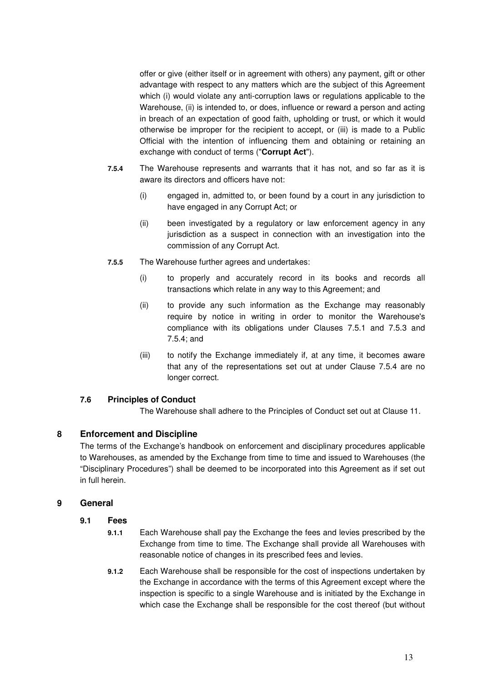offer or give (either itself or in agreement with others) any payment, gift or other advantage with respect to any matters which are the subject of this Agreement which (i) would violate any anti-corruption laws or regulations applicable to the Warehouse, (ii) is intended to, or does, influence or reward a person and acting in breach of an expectation of good faith, upholding or trust, or which it would otherwise be improper for the recipient to accept, or (iii) is made to a Public Official with the intention of influencing them and obtaining or retaining an exchange with conduct of terms ("**Corrupt Act**").

- **7.5.4** The Warehouse represents and warrants that it has not, and so far as it is aware its directors and officers have not:
	- (i) engaged in, admitted to, or been found by a court in any jurisdiction to have engaged in any Corrupt Act; or
	- (ii) been investigated by a regulatory or law enforcement agency in any jurisdiction as a suspect in connection with an investigation into the commission of any Corrupt Act.
- **7.5.5** The Warehouse further agrees and undertakes:
	- (i) to properly and accurately record in its books and records all transactions which relate in any way to this Agreement; and
	- (ii) to provide any such information as the Exchange may reasonably require by notice in writing in order to monitor the Warehouse's compliance with its obligations under Clauses 7.5.1 and 7.5.3 and 7.5.4; and
	- (iii) to notify the Exchange immediately if, at any time, it becomes aware that any of the representations set out at under Clause 7.5.4 are no longer correct.

# **7.6 Principles of Conduct**

The Warehouse shall adhere to the Principles of Conduct set out at Clause 11.

# **8 Enforcement and Discipline**

The terms of the Exchange's handbook on enforcement and disciplinary procedures applicable to Warehouses, as amended by the Exchange from time to time and issued to Warehouses (the "Disciplinary Procedures") shall be deemed to be incorporated into this Agreement as if set out in full herein.

### **9 General**

### **9.1 Fees**

- **9.1.1** Each Warehouse shall pay the Exchange the fees and levies prescribed by the Exchange from time to time. The Exchange shall provide all Warehouses with reasonable notice of changes in its prescribed fees and levies.
- **9.1.2** Each Warehouse shall be responsible for the cost of inspections undertaken by the Exchange in accordance with the terms of this Agreement except where the inspection is specific to a single Warehouse and is initiated by the Exchange in which case the Exchange shall be responsible for the cost thereof (but without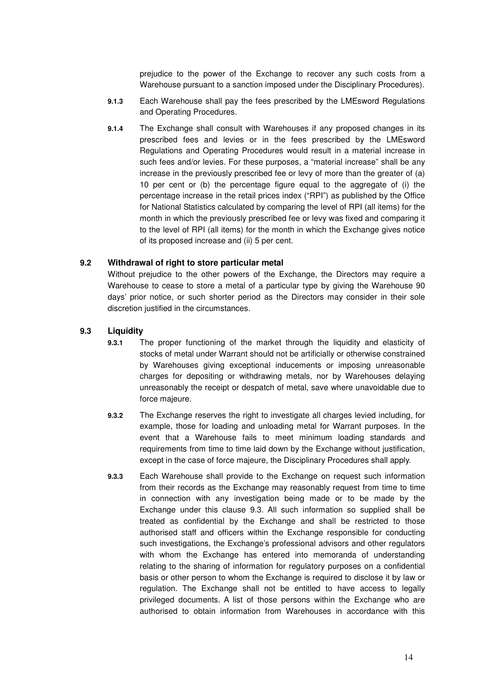prejudice to the power of the Exchange to recover any such costs from a Warehouse pursuant to a sanction imposed under the Disciplinary Procedures).

- **9.1.3** Each Warehouse shall pay the fees prescribed by the LMEsword Regulations and Operating Procedures.
- **9.1.4** The Exchange shall consult with Warehouses if any proposed changes in its prescribed fees and levies or in the fees prescribed by the LMEsword Regulations and Operating Procedures would result in a material increase in such fees and/or levies. For these purposes, a "material increase" shall be any increase in the previously prescribed fee or levy of more than the greater of (a) 10 per cent or (b) the percentage figure equal to the aggregate of (i) the percentage increase in the retail prices index ("RPI") as published by the Office for National Statistics calculated by comparing the level of RPI (all items) for the month in which the previously prescribed fee or levy was fixed and comparing it to the level of RPI (all items) for the month in which the Exchange gives notice of its proposed increase and (ii) 5 per cent.

# **9.2 Withdrawal of right to store particular metal**

Without prejudice to the other powers of the Exchange, the Directors may require a Warehouse to cease to store a metal of a particular type by giving the Warehouse 90 days' prior notice, or such shorter period as the Directors may consider in their sole discretion justified in the circumstances.

### **9.3 Liquidity**

- **9.3.1** The proper functioning of the market through the liquidity and elasticity of stocks of metal under Warrant should not be artificially or otherwise constrained by Warehouses giving exceptional inducements or imposing unreasonable charges for depositing or withdrawing metals, nor by Warehouses delaying unreasonably the receipt or despatch of metal, save where unavoidable due to force majeure.
- **9.3.2** The Exchange reserves the right to investigate all charges levied including, for example, those for loading and unloading metal for Warrant purposes. In the event that a Warehouse fails to meet minimum loading standards and requirements from time to time laid down by the Exchange without justification, except in the case of force majeure, the Disciplinary Procedures shall apply.
- **9.3.3** Each Warehouse shall provide to the Exchange on request such information from their records as the Exchange may reasonably request from time to time in connection with any investigation being made or to be made by the Exchange under this clause 9.3. All such information so supplied shall be treated as confidential by the Exchange and shall be restricted to those authorised staff and officers within the Exchange responsible for conducting such investigations, the Exchange's professional advisors and other regulators with whom the Exchange has entered into memoranda of understanding relating to the sharing of information for regulatory purposes on a confidential basis or other person to whom the Exchange is required to disclose it by law or regulation. The Exchange shall not be entitled to have access to legally privileged documents. A list of those persons within the Exchange who are authorised to obtain information from Warehouses in accordance with this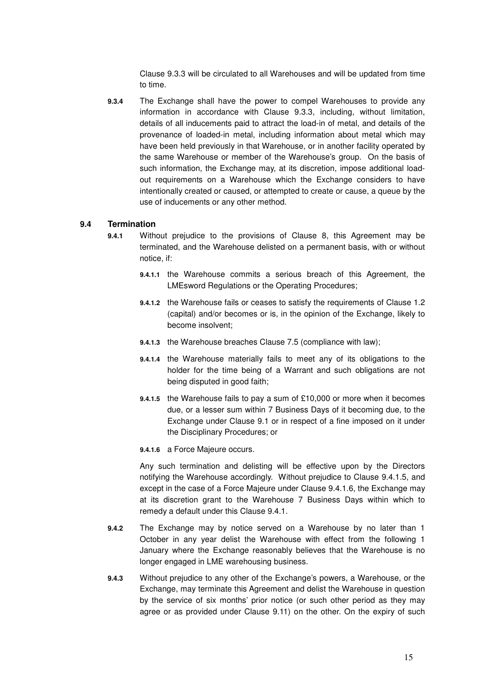Clause 9.3.3 will be circulated to all Warehouses and will be updated from time to time.

**9.3.4** The Exchange shall have the power to compel Warehouses to provide any information in accordance with Clause 9.3.3, including, without limitation, details of all inducements paid to attract the load-in of metal, and details of the provenance of loaded-in metal, including information about metal which may have been held previously in that Warehouse, or in another facility operated by the same Warehouse or member of the Warehouse's group. On the basis of such information, the Exchange may, at its discretion, impose additional loadout requirements on a Warehouse which the Exchange considers to have intentionally created or caused, or attempted to create or cause, a queue by the use of inducements or any other method.

### **9.4 Termination**

- **9.4.1** Without prejudice to the provisions of Clause 8, this Agreement may be terminated, and the Warehouse delisted on a permanent basis, with or without notice, if:
	- **9.4.1.1** the Warehouse commits a serious breach of this Agreement, the LMEsword Regulations or the Operating Procedures;
	- **9.4.1.2** the Warehouse fails or ceases to satisfy the requirements of Clause 1.2 (capital) and/or becomes or is, in the opinion of the Exchange, likely to become insolvent;
	- **9.4.1.3** the Warehouse breaches Clause 7.5 (compliance with law);
	- **9.4.1.4** the Warehouse materially fails to meet any of its obligations to the holder for the time being of a Warrant and such obligations are not being disputed in good faith;
	- **9.4.1.5** the Warehouse fails to pay a sum of £10,000 or more when it becomes due, or a lesser sum within 7 Business Days of it becoming due, to the Exchange under Clause 9.1 or in respect of a fine imposed on it under the Disciplinary Procedures; or
	- **9.4.1.6** a Force Majeure occurs.

Any such termination and delisting will be effective upon by the Directors notifying the Warehouse accordingly. Without prejudice to Clause 9.4.1.5, and except in the case of a Force Majeure under Clause 9.4.1.6, the Exchange may at its discretion grant to the Warehouse 7 Business Days within which to remedy a default under this Clause 9.4.1.

- **9.4.2** The Exchange may by notice served on a Warehouse by no later than 1 October in any year delist the Warehouse with effect from the following 1 January where the Exchange reasonably believes that the Warehouse is no longer engaged in LME warehousing business.
- **9.4.3** Without prejudice to any other of the Exchange's powers, a Warehouse, or the Exchange, may terminate this Agreement and delist the Warehouse in question by the service of six months' prior notice (or such other period as they may agree or as provided under Clause 9.11) on the other. On the expiry of such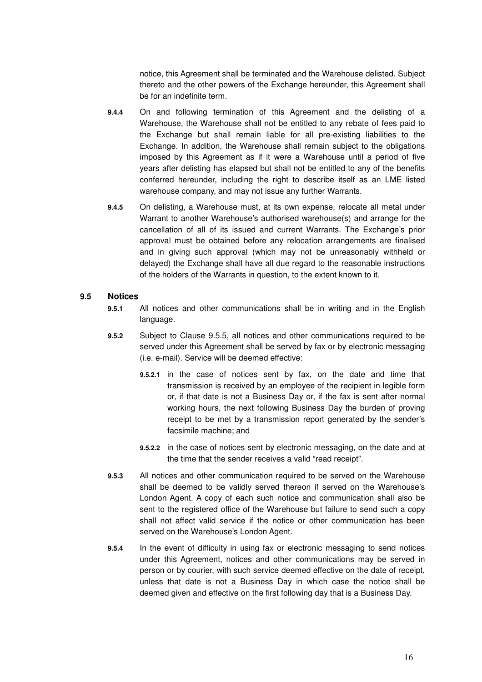notice, this Agreement shall be terminated and the Warehouse delisted. Subject thereto and the other powers of the Exchange hereunder, this Agreement shall be for an indefinite term.

- **9.4.4** On and following termination of this Agreement and the delisting of a Warehouse, the Warehouse shall not be entitled to any rebate of fees paid to the Exchange but shall remain liable for all pre-existing liabilities to the Exchange. In addition, the Warehouse shall remain subject to the obligations imposed by this Agreement as if it were a Warehouse until a period of five years after delisting has elapsed but shall not be entitled to any of the benefits conferred hereunder, including the right to describe itself as an LME listed warehouse company, and may not issue any further Warrants.
- **9.4.5** On delisting, a Warehouse must, at its own expense, relocate all metal under Warrant to another Warehouse's authorised warehouse(s) and arrange for the cancellation of all of its issued and current Warrants. The Exchange's prior approval must be obtained before any relocation arrangements are finalised and in giving such approval (which may not be unreasonably withheld or delayed) the Exchange shall have all due regard to the reasonable instructions of the holders of the Warrants in question, to the extent known to it.

### **9.5 Notices**

- **9.5.1** All notices and other communications shall be in writing and in the English language.
- **9.5.2** Subject to Clause 9.5.5, all notices and other communications required to be served under this Agreement shall be served by fax or by electronic messaging (i.e. e-mail). Service will be deemed effective:
	- **9.5.2.1** in the case of notices sent by fax, on the date and time that transmission is received by an employee of the recipient in legible form or, if that date is not a Business Day or, if the fax is sent after normal working hours, the next following Business Day the burden of proving receipt to be met by a transmission report generated by the sender's facsimile machine; and
	- **9.5.2.2** in the case of notices sent by electronic messaging, on the date and at the time that the sender receives a valid "read receipt".
- **9.5.3** All notices and other communication required to be served on the Warehouse shall be deemed to be validly served thereon if served on the Warehouse's London Agent. A copy of each such notice and communication shall also be sent to the registered office of the Warehouse but failure to send such a copy shall not affect valid service if the notice or other communication has been served on the Warehouse's London Agent.
- **9.5.4** In the event of difficulty in using fax or electronic messaging to send notices under this Agreement, notices and other communications may be served in person or by courier, with such service deemed effective on the date of receipt, unless that date is not a Business Day in which case the notice shall be deemed given and effective on the first following day that is a Business Day.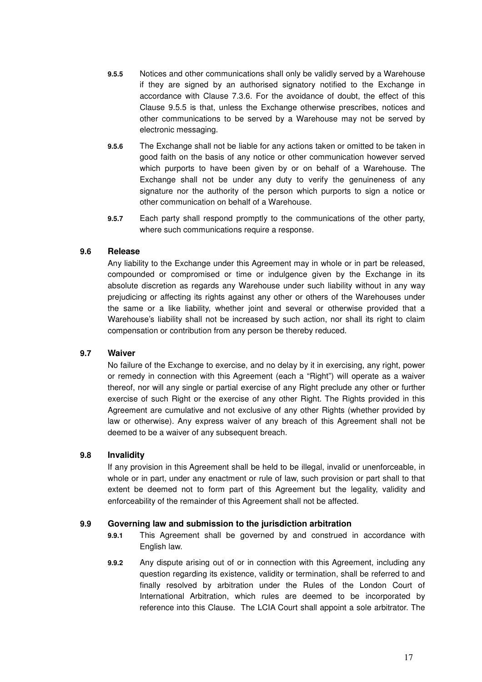- **9.5.5** Notices and other communications shall only be validly served by a Warehouse if they are signed by an authorised signatory notified to the Exchange in accordance with Clause 7.3.6. For the avoidance of doubt, the effect of this Clause 9.5.5 is that, unless the Exchange otherwise prescribes, notices and other communications to be served by a Warehouse may not be served by electronic messaging.
- **9.5.6** The Exchange shall not be liable for any actions taken or omitted to be taken in good faith on the basis of any notice or other communication however served which purports to have been given by or on behalf of a Warehouse. The Exchange shall not be under any duty to verify the genuineness of any signature nor the authority of the person which purports to sign a notice or other communication on behalf of a Warehouse.
- **9.5.7** Each party shall respond promptly to the communications of the other party, where such communications require a response.

# **9.6 Release**

Any liability to the Exchange under this Agreement may in whole or in part be released, compounded or compromised or time or indulgence given by the Exchange in its absolute discretion as regards any Warehouse under such liability without in any way prejudicing or affecting its rights against any other or others of the Warehouses under the same or a like liability, whether joint and several or otherwise provided that a Warehouse's liability shall not be increased by such action, nor shall its right to claim compensation or contribution from any person be thereby reduced.

### **9.7 Waiver**

No failure of the Exchange to exercise, and no delay by it in exercising, any right, power or remedy in connection with this Agreement (each a "Right") will operate as a waiver thereof, nor will any single or partial exercise of any Right preclude any other or further exercise of such Right or the exercise of any other Right. The Rights provided in this Agreement are cumulative and not exclusive of any other Rights (whether provided by law or otherwise). Any express waiver of any breach of this Agreement shall not be deemed to be a waiver of any subsequent breach.

### **9.8 Invalidity**

If any provision in this Agreement shall be held to be illegal, invalid or unenforceable, in whole or in part, under any enactment or rule of law, such provision or part shall to that extent be deemed not to form part of this Agreement but the legality, validity and enforceability of the remainder of this Agreement shall not be affected.

# **9.9 Governing law and submission to the jurisdiction arbitration**

- **9.9.1** This Agreement shall be governed by and construed in accordance with English law.
- **9.9.2** Any dispute arising out of or in connection with this Agreement, including any question regarding its existence, validity or termination, shall be referred to and finally resolved by arbitration under the Rules of the London Court of International Arbitration, which rules are deemed to be incorporated by reference into this Clause. The LCIA Court shall appoint a sole arbitrator. The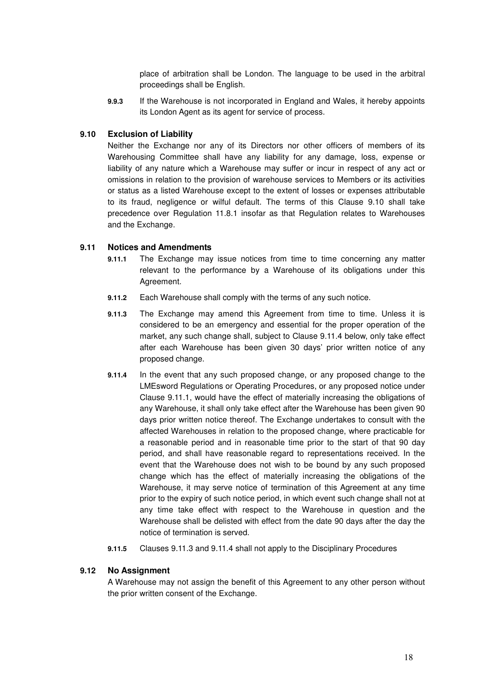place of arbitration shall be London. The language to be used in the arbitral proceedings shall be English.

**9.9.3** If the Warehouse is not incorporated in England and Wales, it hereby appoints its London Agent as its agent for service of process.

### **9.10 Exclusion of Liability**

Neither the Exchange nor any of its Directors nor other officers of members of its Warehousing Committee shall have any liability for any damage, loss, expense or liability of any nature which a Warehouse may suffer or incur in respect of any act or omissions in relation to the provision of warehouse services to Members or its activities or status as a listed Warehouse except to the extent of losses or expenses attributable to its fraud, negligence or wilful default. The terms of this Clause 9.10 shall take precedence over Regulation 11.8.1 insofar as that Regulation relates to Warehouses and the Exchange.

### **9.11 Notices and Amendments**

- **9.11.1** The Exchange may issue notices from time to time concerning any matter relevant to the performance by a Warehouse of its obligations under this Agreement.
- **9.11.2** Each Warehouse shall comply with the terms of any such notice.
- **9.11.3** The Exchange may amend this Agreement from time to time. Unless it is considered to be an emergency and essential for the proper operation of the market, any such change shall, subject to Clause 9.11.4 below, only take effect after each Warehouse has been given 30 days' prior written notice of any proposed change.
- **9.11.4** In the event that any such proposed change, or any proposed change to the LMEsword Regulations or Operating Procedures, or any proposed notice under Clause 9.11.1, would have the effect of materially increasing the obligations of any Warehouse, it shall only take effect after the Warehouse has been given 90 days prior written notice thereof. The Exchange undertakes to consult with the affected Warehouses in relation to the proposed change, where practicable for a reasonable period and in reasonable time prior to the start of that 90 day period, and shall have reasonable regard to representations received. In the event that the Warehouse does not wish to be bound by any such proposed change which has the effect of materially increasing the obligations of the Warehouse, it may serve notice of termination of this Agreement at any time prior to the expiry of such notice period, in which event such change shall not at any time take effect with respect to the Warehouse in question and the Warehouse shall be delisted with effect from the date 90 days after the day the notice of termination is served.
- **9.11.5** Clauses 9.11.3 and 9.11.4 shall not apply to the Disciplinary Procedures

### **9.12 No Assignment**

A Warehouse may not assign the benefit of this Agreement to any other person without the prior written consent of the Exchange.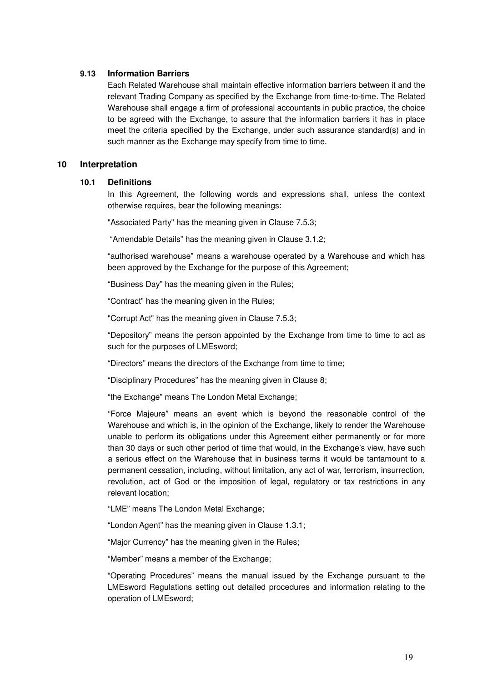#### **9.13 Information Barriers**

Each Related Warehouse shall maintain effective information barriers between it and the relevant Trading Company as specified by the Exchange from time-to-time. The Related Warehouse shall engage a firm of professional accountants in public practice, the choice to be agreed with the Exchange, to assure that the information barriers it has in place meet the criteria specified by the Exchange, under such assurance standard(s) and in such manner as the Exchange may specify from time to time.

### **10 Interpretation**

#### **10.1 Definitions**

In this Agreement, the following words and expressions shall, unless the context otherwise requires, bear the following meanings:

"Associated Party" has the meaning given in Clause 7.5.3;

"Amendable Details" has the meaning given in Clause 3.1.2;

"authorised warehouse" means a warehouse operated by a Warehouse and which has been approved by the Exchange for the purpose of this Agreement;

"Business Day" has the meaning given in the Rules;

"Contract" has the meaning given in the Rules;

"Corrupt Act" has the meaning given in Clause 7.5.3;

"Depository" means the person appointed by the Exchange from time to time to act as such for the purposes of LMEsword;

"Directors" means the directors of the Exchange from time to time;

"Disciplinary Procedures" has the meaning given in Clause 8;

"the Exchange" means The London Metal Exchange;

"Force Majeure" means an event which is beyond the reasonable control of the Warehouse and which is, in the opinion of the Exchange, likely to render the Warehouse unable to perform its obligations under this Agreement either permanently or for more than 30 days or such other period of time that would, in the Exchange's view, have such a serious effect on the Warehouse that in business terms it would be tantamount to a permanent cessation, including, without limitation, any act of war, terrorism, insurrection, revolution, act of God or the imposition of legal, regulatory or tax restrictions in any relevant location;

"LME" means The London Metal Exchange;

"London Agent" has the meaning given in Clause 1.3.1;

"Major Currency" has the meaning given in the Rules;

"Member" means a member of the Exchange;

"Operating Procedures" means the manual issued by the Exchange pursuant to the LMEsword Regulations setting out detailed procedures and information relating to the operation of LMEsword;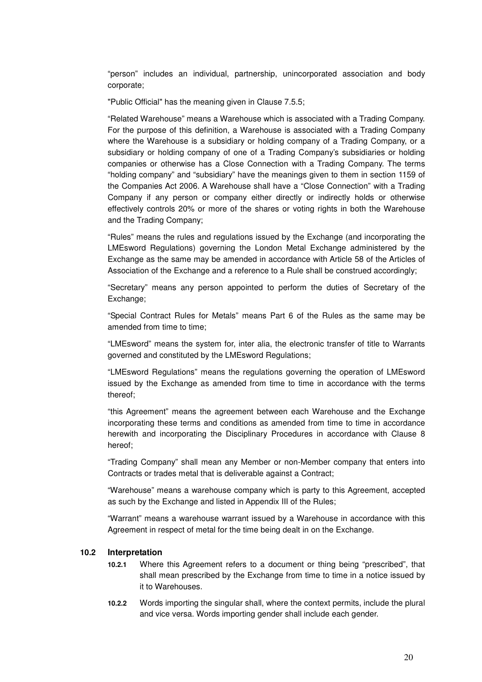"person" includes an individual, partnership, unincorporated association and body corporate;

"Public Official" has the meaning given in Clause 7.5.5;

"Related Warehouse" means a Warehouse which is associated with a Trading Company. For the purpose of this definition, a Warehouse is associated with a Trading Company where the Warehouse is a subsidiary or holding company of a Trading Company, or a subsidiary or holding company of one of a Trading Company's subsidiaries or holding companies or otherwise has a Close Connection with a Trading Company. The terms "holding company" and "subsidiary" have the meanings given to them in section 1159 of the Companies Act 2006. A Warehouse shall have a "Close Connection" with a Trading Company if any person or company either directly or indirectly holds or otherwise effectively controls 20% or more of the shares or voting rights in both the Warehouse and the Trading Company;

"Rules" means the rules and regulations issued by the Exchange (and incorporating the LMEsword Regulations) governing the London Metal Exchange administered by the Exchange as the same may be amended in accordance with Article 58 of the Articles of Association of the Exchange and a reference to a Rule shall be construed accordingly;

"Secretary" means any person appointed to perform the duties of Secretary of the Exchange;

"Special Contract Rules for Metals" means Part 6 of the Rules as the same may be amended from time to time:

"LMEsword" means the system for, inter alia, the electronic transfer of title to Warrants governed and constituted by the LMEsword Regulations;

"LMEsword Regulations" means the regulations governing the operation of LMEsword issued by the Exchange as amended from time to time in accordance with the terms thereof;

"this Agreement" means the agreement between each Warehouse and the Exchange incorporating these terms and conditions as amended from time to time in accordance herewith and incorporating the Disciplinary Procedures in accordance with Clause 8 hereof;

"Trading Company" shall mean any Member or non-Member company that enters into Contracts or trades metal that is deliverable against a Contract;

"Warehouse" means a warehouse company which is party to this Agreement, accepted as such by the Exchange and listed in Appendix III of the Rules;

"Warrant" means a warehouse warrant issued by a Warehouse in accordance with this Agreement in respect of metal for the time being dealt in on the Exchange.

### **10.2 Interpretation**

- **10.2.1** Where this Agreement refers to a document or thing being "prescribed", that shall mean prescribed by the Exchange from time to time in a notice issued by it to Warehouses.
- **10.2.2** Words importing the singular shall, where the context permits, include the plural and vice versa. Words importing gender shall include each gender.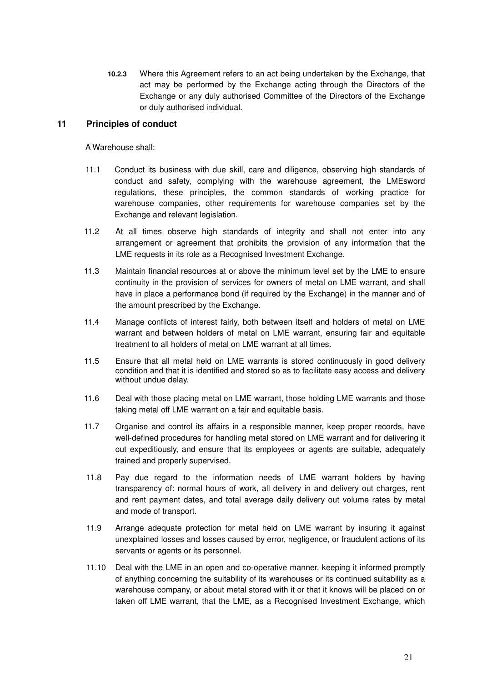**10.2.3** Where this Agreement refers to an act being undertaken by the Exchange, that act may be performed by the Exchange acting through the Directors of the Exchange or any duly authorised Committee of the Directors of the Exchange or duly authorised individual.

# **11 Principles of conduct**

A Warehouse shall:

- 11.1 Conduct its business with due skill, care and diligence, observing high standards of conduct and safety, complying with the warehouse agreement, the LMEsword regulations, these principles, the common standards of working practice for warehouse companies, other requirements for warehouse companies set by the Exchange and relevant legislation.
- 11.2 At all times observe high standards of integrity and shall not enter into any arrangement or agreement that prohibits the provision of any information that the LME requests in its role as a Recognised Investment Exchange.
- 11.3 Maintain financial resources at or above the minimum level set by the LME to ensure continuity in the provision of services for owners of metal on LME warrant, and shall have in place a performance bond (if required by the Exchange) in the manner and of the amount prescribed by the Exchange.
- 11.4 Manage conflicts of interest fairly, both between itself and holders of metal on LME warrant and between holders of metal on LME warrant, ensuring fair and equitable treatment to all holders of metal on LME warrant at all times.
- 11.5 Ensure that all metal held on LME warrants is stored continuously in good delivery condition and that it is identified and stored so as to facilitate easy access and delivery without undue delay.
- 11.6 Deal with those placing metal on LME warrant, those holding LME warrants and those taking metal off LME warrant on a fair and equitable basis.
- 11.7 Organise and control its affairs in a responsible manner, keep proper records, have well-defined procedures for handling metal stored on LME warrant and for delivering it out expeditiously, and ensure that its employees or agents are suitable, adequately trained and properly supervised.
- 11.8 Pay due regard to the information needs of LME warrant holders by having transparency of: normal hours of work, all delivery in and delivery out charges, rent and rent payment dates, and total average daily delivery out volume rates by metal and mode of transport.
- 11.9 Arrange adequate protection for metal held on LME warrant by insuring it against unexplained losses and losses caused by error, negligence, or fraudulent actions of its servants or agents or its personnel.
- 11.10 Deal with the LME in an open and co-operative manner, keeping it informed promptly of anything concerning the suitability of its warehouses or its continued suitability as a warehouse company, or about metal stored with it or that it knows will be placed on or taken off LME warrant, that the LME, as a Recognised Investment Exchange, which